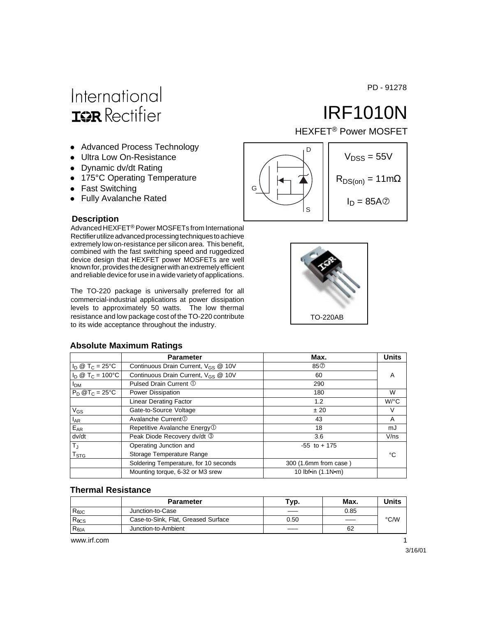PD - 91278

# International **ISR** Rectifier

- Advanced Process Technology
- Ultra Low On-Resistance
- Dynamic dv/dt Rating
- 175°C Operating Temperature
- Fast Switching
- Fully Avalanche Rated

#### **Description**

Advanced HEXFET® Power MOSFETs from International Rectifier utilize advanced processing techniques to achieve extremely low on-resistance per silicon area. This benefit, combined with the fast switching speed and ruggedized device design that HEXFET power MOSFETs are well known for, provides the designer with an extremely efficient and reliable device for use in a wide variety of applications.

The TO-220 package is universally preferred for all commercial-industrial applications at power dissipation levels to approximately 50 watts. The low thermal resistance and low package cost of the TO-220 contribute to its wide acceptance throughout the industry.

#### **Absolute Maximum Ratings**

| <b>Parameter</b>                                | Max.                  | <b>Units</b> |
|-------------------------------------------------|-----------------------|--------------|
| Continuous Drain Current, V <sub>GS</sub> @ 10V | 85 <sup>o</sup>       |              |
| Continuous Drain Current, V <sub>GS</sub> @ 10V | 60                    | A            |
| Pulsed Drain Current 1                          | 290                   |              |
| Power Dissipation                               | 180                   | W            |
| <b>Linear Derating Factor</b>                   | 1.2                   | W/°C         |
| Gate-to-Source Voltage                          | ± 20                  | V            |
| Avalanche Current <sup>①</sup>                  | 43                    | A            |
| Repetitive Avalanche Energy <sup>1</sup>        | 18                    | mJ           |
| Peak Diode Recovery dv/dt 3                     | 3.6                   | V/ns         |
| Operating Junction and                          | $-55$ to $+175$       |              |
| Storage Temperature Range                       |                       | °C           |
| Soldering Temperature, for 10 seconds           | 300 (1.6mm from case) |              |
| Mounting torque, 6-32 or M3 srew                | 10 Ibf•in (1.1N•m)    |              |
|                                                 |                       |              |

#### **Thermal Resistance**

|                 | <b>Parameter</b>                    | Tур. | Max. | Units |
|-----------------|-------------------------------------|------|------|-------|
| $R_{\theta$ JC  | Junction-to-Case                    | ---  | 0.85 |       |
| $R_{\theta CS}$ | Case-to-Sink, Flat, Greased Surface | 0.50 |      | °C/W  |
| $R_{\theta$ JA  | Junction-to-Ambient                 | ___  | 62   |       |

www.irf.com 1





IRF1010N

HEXFET® Power MOSFET

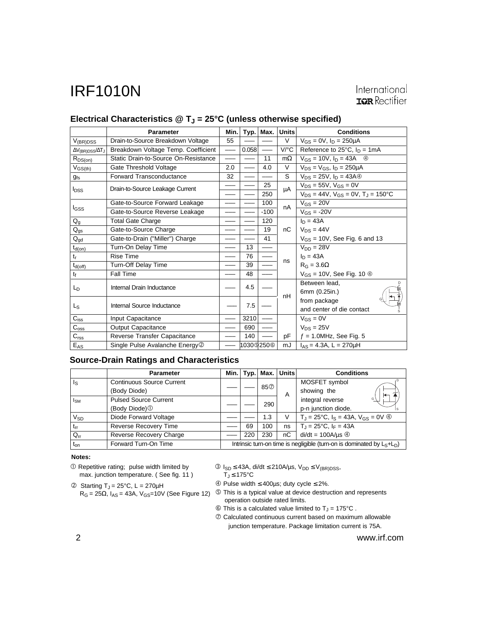|                                 | <b>Parameter</b>                           | Min.            | Typ.      | Max.                     | <b>Units</b> | <b>Conditions</b>                                     |
|---------------------------------|--------------------------------------------|-----------------|-----------|--------------------------|--------------|-------------------------------------------------------|
| $V_{(BR)DSS}$                   | Drain-to-Source Breakdown Voltage          | 55              |           |                          | V            | $V_{GS} = 0V$ , $I_D = 250 \mu A$                     |
| $\Delta V_{(BR)DSS}/\Delta T_J$ | Breakdown Voltage Temp. Coefficient        | $\qquad \qquad$ | 0.058     | $\overline{\phantom{m}}$ | V/°C         | Reference to $25^{\circ}$ C, $I_D = 1 \text{mA}$      |
| $R_{DS(on)}$                    | Static Drain-to-Source On-Resistance       |                 |           | 11                       | $m\Omega$    | $V_{GS} = 10V$ , $I_D = 43A$ <sup>43</sup>            |
| $V_{GS(th)}$                    | Gate Threshold Voltage                     | 2.0             |           | 4.0                      | V            | $V_{DS} = V_{GS}$ , $I_D = 250 \mu A$                 |
| <b>gfs</b>                      | Forward Transconductance                   | 32              |           |                          | S            | $V_{DS} = 25V$ , $I_D = 43A$ <sup>(4)</sup>           |
| <b>I</b> <sub>DSS</sub>         | Drain-to-Source Leakage Current            |                 |           | 25                       | μA           | $V_{DS} = 55V$ , $V_{GS} = 0V$                        |
|                                 |                                            |                 |           | 250                      |              | $V_{DS} = 44V$ , $V_{GS} = 0V$ , $T_J = 150^{\circ}C$ |
|                                 | Gate-to-Source Forward Leakage             |                 |           | 100                      | nA           | $V_{GS} = 20V$                                        |
| I <sub>GSS</sub>                | Gate-to-Source Reverse Leakage             |                 |           | $-100$                   |              | $V_{GS} = -20V$                                       |
| $Q_g$                           | <b>Total Gate Charge</b>                   |                 |           | 120                      |              | $I_D = 43A$                                           |
| $Q_{gs}$                        | Gate-to-Source Charge                      |                 |           | 19                       | nC           | $V_{DS} = 44V$                                        |
| $Q_{gd}$                        | Gate-to-Drain ("Miller") Charge            |                 |           | 41                       |              | $V_{GS}$ = 10V, See Fig. 6 and 13                     |
| $t_{d(on)}$                     | Turn-On Delay Time                         |                 | 13        |                          |              | $V_{DD} = 28V$                                        |
| $t_{r}$                         | <b>Rise Time</b>                           |                 | 76        |                          | ns           | $I_D = 43A$                                           |
| $t_{d(off)}$                    | Turn-Off Delay Time                        |                 | 39        |                          |              | $R_G = 3.6\Omega$                                     |
| $t_{\rm f}$                     | Fall Time                                  |                 | 48        |                          |              | $V_{GS}$ = 10V, See Fig. 10 $\circledcirc$            |
|                                 | Internal Drain Inductance                  |                 | 4.5       |                          |              | Between lead.                                         |
| $L_{\text{D}}$                  |                                            |                 |           |                          | nH           | 6mm (0.25in.)                                         |
| L <sub>S</sub>                  | Internal Source Inductance                 |                 |           |                          |              | from package                                          |
|                                 |                                            |                 | 7.5       |                          |              | and center of die contact                             |
| $C_{iss}$                       | Input Capacitance                          |                 | 3210      |                          |              | $V_{GS} = 0V$                                         |
| $C_{\rm oss}$                   | <b>Output Capacitance</b>                  |                 | 690       |                          |              | $V_{DS} = 25V$                                        |
| C <sub>rss</sub>                | Reverse Transfer Capacitance               |                 | 140       |                          | pF           | $f = 1.0$ MHz, See Fig. 5                             |
| $E_{AS}$                        | Single Pulse Avalanche Energy <sup>2</sup> |                 | 1030I250® |                          | mJ           | $I_{AS} = 4.3A$ , L = 270µH                           |

### Electrical Characteristics @ T<sub>J</sub> = 25°C (unless otherwise specified)

#### **Source-Drain Ratings and Characteristics**

|                 | <b>Parameter</b>                 | Min. l                                                                    |     |                 | Typ.   Max.   Units | <b>Conditions</b>                                                      |
|-----------------|----------------------------------|---------------------------------------------------------------------------|-----|-----------------|---------------------|------------------------------------------------------------------------|
| ls              | <b>Continuous Source Current</b> |                                                                           |     | 85 <sup>O</sup> |                     | MOSFET symbol                                                          |
|                 | (Body Diode)                     |                                                                           |     | A               | showing the<br>⇤    |                                                                        |
| $I_{SM}$        | <b>Pulsed Source Current</b>     |                                                                           |     | 290             |                     | integral reverse<br>G                                                  |
|                 | (Body Diode) <sup>1</sup>        |                                                                           |     |                 |                     | p-n junction diode.                                                    |
| V <sub>SD</sub> | Diode Forward Voltage            |                                                                           |     | 1.3             | V                   | $T_{\rm J}$ = 25°C, $I_{\rm S}$ = 43A, $V_{\rm GS}$ = 0V $\circled{4}$ |
| $t_{rr}$        | <b>Reverse Recovery Time</b>     |                                                                           | 69  | 100             | ns                  | $T_{\rm J} = 25^{\circ}$ C, I <sub>F</sub> = 43A                       |
| $Q_{rr}$        | Reverse Recovery Charge          |                                                                           | 220 | 230             | nС                  | $di/dt = 100A/\mu s$ 4                                                 |
| $t_{on}$        | Forward Turn-On Time             | Intrinsic turn-on time is negligible (turn-on is dominated by $L_S+L_D$ ) |     |                 |                     |                                                                        |

#### **Notes:**

- Repetitive rating; pulse width limited by max. junction temperature. ( See fig. 11 )
- $\textcircled{2}$  Starting T<sub>J</sub> = 25°C, L = 270µH  $R_G = 25\Omega$ , I<sub>AS</sub> = 43A, V<sub>GS</sub>=10V (See Figure 12)
- $\textcircled{3}$  I<sub>SD</sub> ≤ 43A, di/dt ≤ 210A/µs, V<sub>DD</sub> ≤ V<sub>(BR)DSS</sub>,  $T_J \leq 175^{\circ}C$
- Pulse width ≤ 400µs; duty cycle ≤ 2%.
- This is a typical value at device destruction and represents operation outside rated limits.
- $\textcircled{\tiny{\textcircled{\tiny{1}}}}$  This is a calculated value limited to T<sub>J</sub> = 175°C.
- $O$  Calculated continuous current based on maximum allowable junction temperature. Package limitation current is 75A.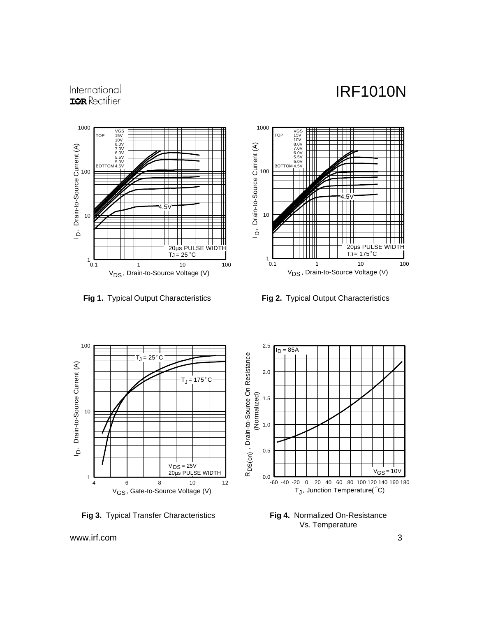### International **IOR** Rectifier









**Fig 3.** Typical Transfer Characteristics



**Fig 4.** Normalized On-Resistance Vs. Temperature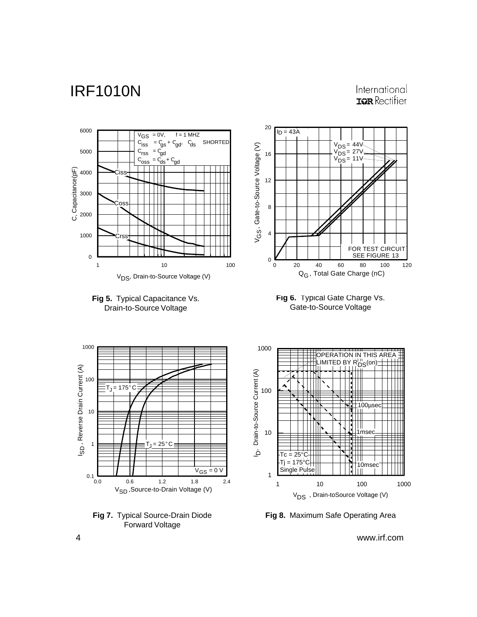### International **IOR** Rectifier



**Fig 7.** Typical Source-Drain Diode Forward Voltage

**Fig 8.** Maximum Safe Operating Area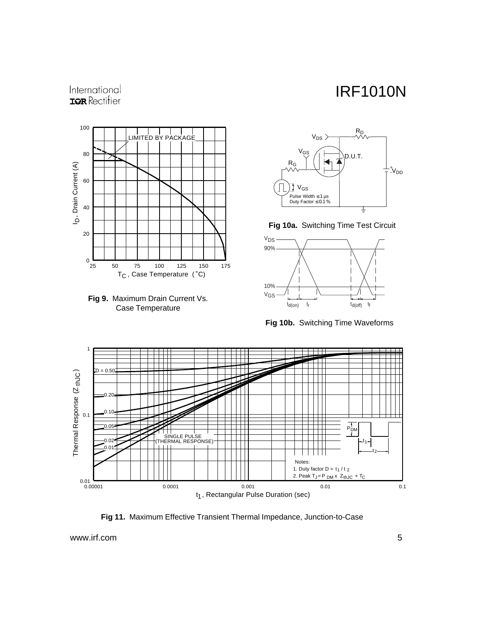### International **IOR** Rectifier







**Fig 10a.** Switching Time Test Circuit



**Fig 10b.** Switching Time Waveforms



**Fig 11.** Maximum Effective Transient Thermal Impedance, Junction-to-Case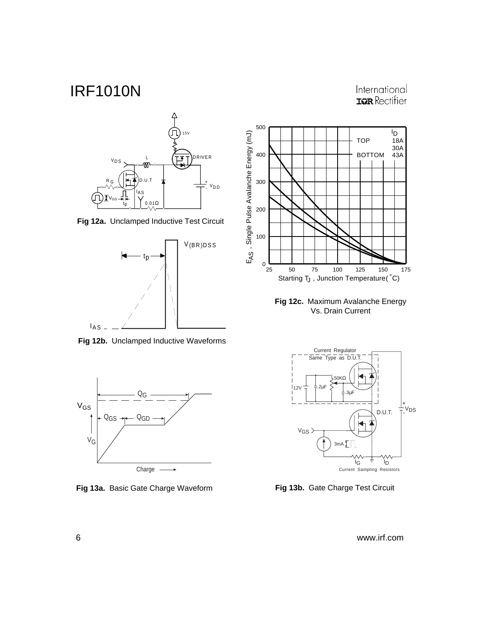



**Fig 12a.** Unclamped Inductive Test Circuit



**Fig 12b.** Unclamped Inductive Waveforms



**Fig 13a.** Basic Gate Charge Waveform **Fig 13b.** Gate Charge Test Circuit



**Fig 12c.** Maximum Avalanche Energy Vs. Drain Current

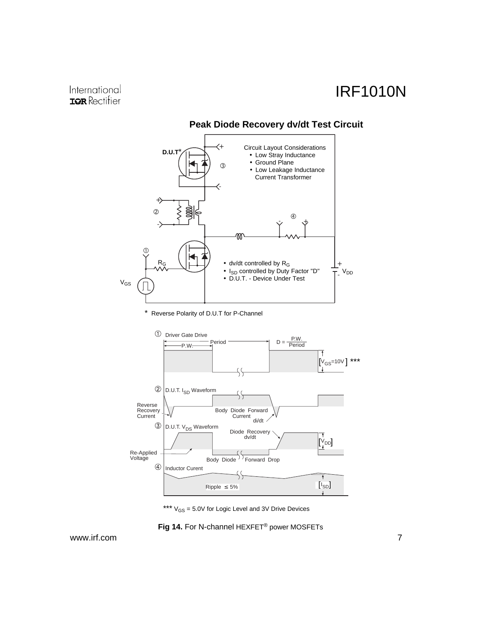

### **Peak Diode Recovery dv/dt Test Circuit**

\* Reverse Polarity of D.U.T for P-Channel



\*\*\*  $V_{GS} = 5.0V$  for Logic Level and 3V Drive Devices

**Fig 14.** For N-channel HEXFET® power MOSFETs